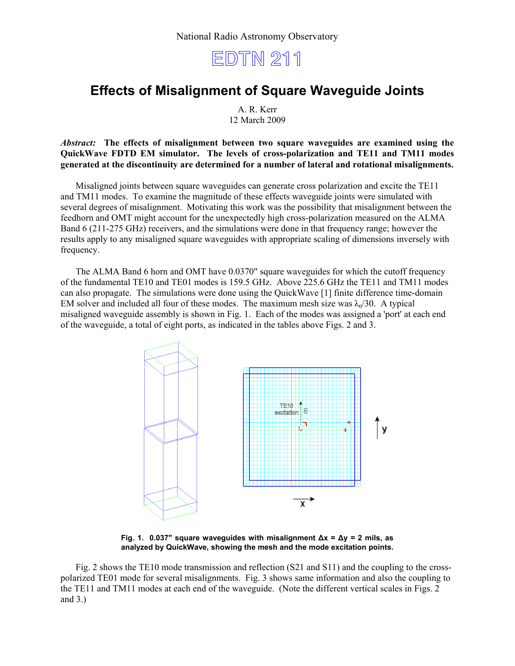

## **Effects of Misalignment of Square Waveguide Joints**

A. R. Kerr 12 March 2009

*Abstract:* **The effects of misalignment between two square waveguides are examined using the QuickWave FDTD EM simulator. The levels of cross-polarization and TE11 and TM11 modes generated at the discontinuity are determined for a number of lateral and rotational misalignments.**

Misaligned joints between square waveguides can generate cross polarization and excite the TE11 and TM11 modes. To examine the magnitude of these effects waveguide joints were simulated with several degrees of misalignment. Motivating this work was the possibility that misalignment between the feedhorn and OMT might account for the unexpectedly high cross-polarization measured on the ALMA Band 6 (211-275 GHz) receivers, and the simulations were done in that frequency range; however the results apply to any misaligned square waveguides with appropriate scaling of dimensions inversely with frequency.

The ALMA Band 6 horn and OMT have 0.0370" square waveguides for which the cutoff frequency of the fundamental TE10 and TE01 modes is 159.5 GHz. Above 225.6 GHz the TE11 and TM11 modes can also propagate. The simulations were done using the QuickWave [1] finite difference time-domain EM solver and included all four of these modes. The maximum mesh size was  $\lambda_0/30$ . A typical misaligned waveguide assembly is shown in Fig. 1. Each of the modes was assigned a 'port' at each end of the waveguide, a total of eight ports, as indicated in the tables above Figs. 2 and 3.



**Fig. 1. 0.037" square waveguides with misalignment Δx = Δy = 2 mils, as analyzed by QuickWave, showing the mesh and the mode excitation points.**

Fig. 2 shows the TE10 mode transmission and reflection (S21 and S11) and the coupling to the crosspolarized TE01 mode for several misalignments. Fig. 3 shows same information and also the coupling to the TE11 and TM11 modes at each end of the waveguide. (Note the different vertical scales in Figs. 2 and 3.)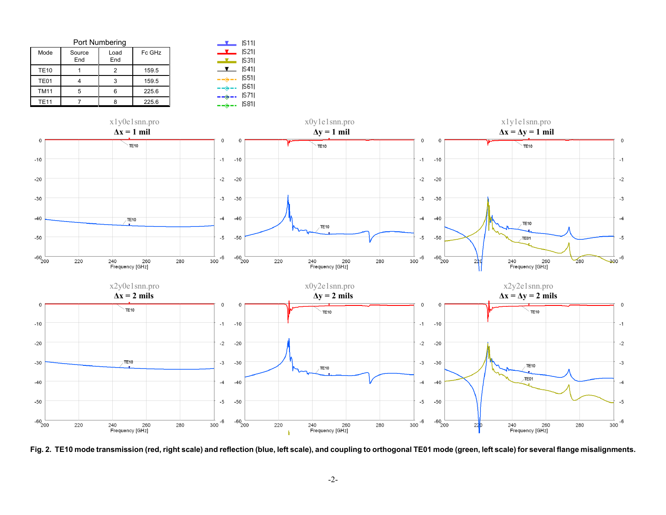|             | Port Numbering |             | IS111  |                                                                                                                                                                                                                                                                                                                                                                                              |                |
|-------------|----------------|-------------|--------|----------------------------------------------------------------------------------------------------------------------------------------------------------------------------------------------------------------------------------------------------------------------------------------------------------------------------------------------------------------------------------------------|----------------|
| Mode        | Source<br>End  | Load<br>End | Fc GHz | ┸                                                                                                                                                                                                                                                                                                                                                                                            | IS 211<br> S31 |
| <b>TE10</b> |                | 2           | 159.5  |                                                                                                                                                                                                                                                                                                                                                                                              | S41            |
| TE01        |                | 3           | 159.5  | $\frac{1}{2} \frac{1}{2} \frac{1}{2} \frac{1}{2} \frac{1}{2} \frac{1}{2} \frac{1}{2} \frac{1}{2} \frac{1}{2} \frac{1}{2} \frac{1}{2} \frac{1}{2} \frac{1}{2} \frac{1}{2} \frac{1}{2} \frac{1}{2} \frac{1}{2} \frac{1}{2} \frac{1}{2} \frac{1}{2} \frac{1}{2} \frac{1}{2} \frac{1}{2} \frac{1}{2} \frac{1}{2} \frac{1}{2} \frac{1}{2} \frac{1}{2} \frac{1}{2} \frac{1}{2} \frac{1}{2} \frac{$ | S51            |
| <b>TM11</b> | 5              | 6           | 225.6  |                                                                                                                                                                                                                                                                                                                                                                                              | S61 <br>IS 711 |
| <b>TE11</b> |                | R           | 225.6  | $--\oplus --$                                                                                                                                                                                                                                                                                                                                                                                | S81            |



**Fig. 2. TE10 mode transmission (red, right scale) and reflection (blue, left scale), and coupling to orthogonal TE01 mode (green, left scale) for several flange misalignments.**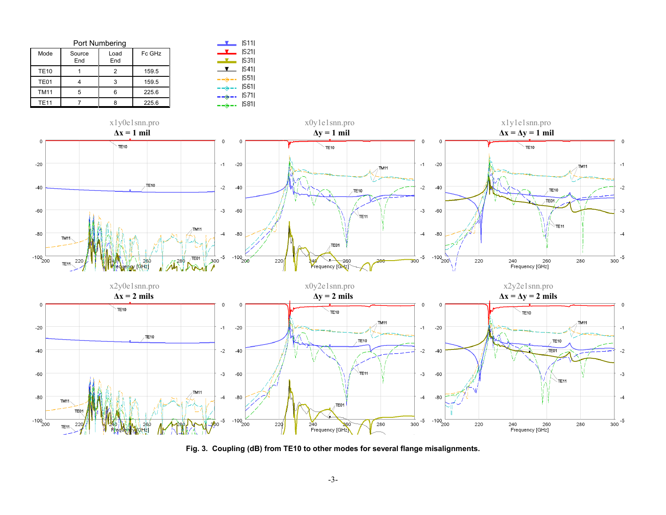|             | Port Numbering |             | S11    |                                                                                                                                                                                                                                                                                                                                                                                              |                 |
|-------------|----------------|-------------|--------|----------------------------------------------------------------------------------------------------------------------------------------------------------------------------------------------------------------------------------------------------------------------------------------------------------------------------------------------------------------------------------------------|-----------------|
| Mode        | Source<br>End  | Load<br>End | Fc GHz | ╌                                                                                                                                                                                                                                                                                                                                                                                            | S21 <br>IS311   |
| <b>TE10</b> |                | 2           | 159.5  | $\overline{\phantom{a}}$                                                                                                                                                                                                                                                                                                                                                                     | IS 411          |
| TE01        |                | 3           | 159.5  | $\frac{1}{2} \frac{1}{2} \frac{1}{2} \frac{1}{2} \frac{1}{2} \frac{1}{2} \frac{1}{2} \frac{1}{2} \frac{1}{2} \frac{1}{2} \frac{1}{2} \frac{1}{2} \frac{1}{2} \frac{1}{2} \frac{1}{2} \frac{1}{2} \frac{1}{2} \frac{1}{2} \frac{1}{2} \frac{1}{2} \frac{1}{2} \frac{1}{2} \frac{1}{2} \frac{1}{2} \frac{1}{2} \frac{1}{2} \frac{1}{2} \frac{1}{2} \frac{1}{2} \frac{1}{2} \frac{1}{2} \frac{$ | S51             |
| <b>TM11</b> | 5              | 6           | 225.6  |                                                                                                                                                                                                                                                                                                                                                                                              | IS611<br>IS 711 |
| <b>TE11</b> |                | 8           | 225.6  | $  \leftrightarrow$ $ -$                                                                                                                                                                                                                                                                                                                                                                     | IS811           |



**Fig. 3. Coupling (dB) from TE10 to other modes for several flange misalignments.**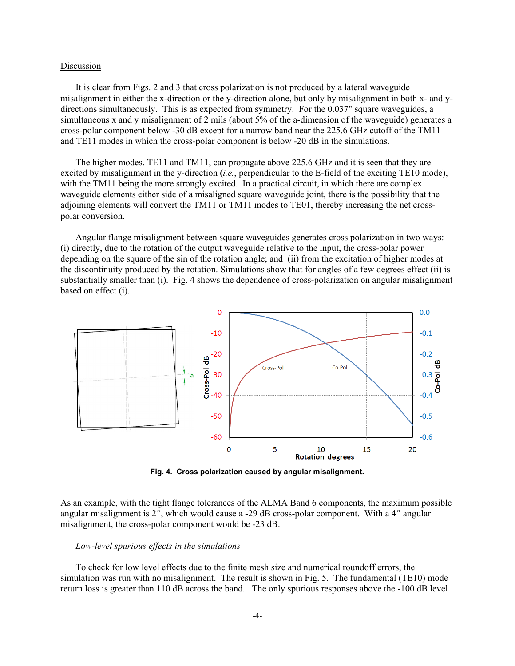## Discussion

It is clear from Figs. 2 and 3 that cross polarization is not produced by a lateral waveguide misalignment in either the x-direction or the y-direction alone, but only by misalignment in both x- and ydirections simultaneously. This is as expected from symmetry. For the 0.037" square waveguides, a simultaneous x and y misalignment of 2 mils (about 5% of the a-dimension of the waveguide) generates a cross-polar component below -30 dB except for a narrow band near the 225.6 GHz cutoff of the TM11 and TE11 modes in which the cross-polar component is below -20 dB in the simulations.

The higher modes, TE11 and TM11, can propagate above 225.6 GHz and it is seen that they are excited by misalignment in the y-direction (*i.e.*, perpendicular to the E-field of the exciting TE10 mode), with the TM11 being the more strongly excited. In a practical circuit, in which there are complex waveguide elements either side of a misaligned square waveguide joint, there is the possibility that the adjoining elements will convert the TM11 or TM11 modes to TE01, thereby increasing the net crosspolar conversion.

Angular flange misalignment between square waveguides generates cross polarization in two ways: (i) directly, due to the rotation of the output waveguide relative to the input, the cross-polar power depending on the square of the sin of the rotation angle; and (ii) from the excitation of higher modes at the discontinuity produced by the rotation. Simulations show that for angles of a few degrees effect (ii) is substantially smaller than (i). Fig. 4 shows the dependence of cross-polarization on angular misalignment based on effect (i).



**Fig. 4. Cross polarization caused by angular misalignment.**

As an example, with the tight flange tolerances of the ALMA Band 6 components, the maximum possible angular misalignment is  $2^{\circ}$ , which would cause a -29 dB cross-polar component. With a  $4^{\circ}$  angular misalignment, the cross-polar component would be -23 dB.

## *Low-level spurious effects in the simulations*

To check for low level effects due to the finite mesh size and numerical roundoff errors, the simulation was run with no misalignment. The result is shown in Fig. 5. The fundamental (TE10) mode return loss is greater than 110 dB across the band. The only spurious responses above the -100 dB level